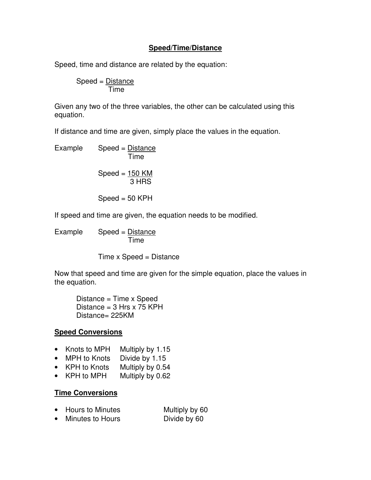### **Speed/Time/Distance**

Speed, time and distance are related by the equation:

 Speed = Distance Time

Given any two of the three variables, the other can be calculated using this equation.

If distance and time are given, simply place the values in the equation.

Example Speed = Distance Time

$$
Speed = \frac{150 \text{ KM}}{3 \text{ HRS}}
$$

 $Speed = 50 KPH$ 

If speed and time are given, the equation needs to be modified.

Example Speed = Distance Time

Time x Speed = Distance

Now that speed and time are given for the simple equation, place the values in the equation.

 Distance = Time x Speed Distance =  $3$  Hrs x 75 KPH Distance= 225KM

# **Speed Conversions**

- Knots to MPH Multiply by 1.15
- MPH to Knots Divide by 1.15
- KPH to Knots Multiply by 0.54
- KPH to MPH Multiply by 0.62

### **Time Conversions**

| • Hours to Minutes | Multiply by 60 |
|--------------------|----------------|
| Minutes to Hours   | Divide by 60   |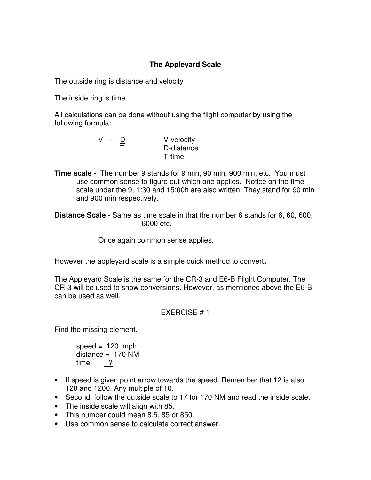# **The Appleyard Scale**

The outside ring is distance and velocity

The inside ring is time.

All calculations can be done without using the flight computer by using the following formula:

$$
V = \frac{D}{T}
$$
 V-velocity  
D-distance  
T-time

**Time scale** - The number 9 stands for 9 min, 90 min, 900 min, etc. You must use common sense to figure out which one applies. Notice on the time scale under the 9, 1:30 and 15:00h are also written. They stand for 90 min and 900 min respectively.

**Distance Scale** - Same as time scale in that the number 6 stands for 6, 60, 600, 6000 etc.

Once again common sense applies.

However the appleyard scale is a simple quick method to convert.

The Appleyard Scale is the same for the CR-3 and E6-B Flight Computer. The CR-3 will be used to show conversions. However, as mentioned above the E6-B can be used as well.

# EXERCISE # 1

Find the missing element.

speed  $= 120$  mph  $distance = 170$  NM  $time = ?$ 

- If speed is given point arrow towards the speed. Remember that 12 is also 120 and 1200. Any multiple of 10.
- Second, follow the outside scale to 17 for 170 NM and read the inside scale.
- The inside scale will align with 85.
- This number could mean 8.5, 85 or 850.
- Use common sense to calculate correct answer.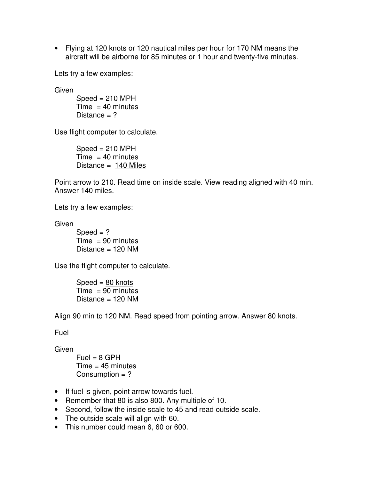• Flying at 120 knots or 120 nautical miles per hour for 170 NM means the aircraft will be airborne for 85 minutes or 1 hour and twenty-five minutes.

Lets try a few examples:

**Given** 

 $Speed = 210 MPH$  $Time = 40$  minutes Distance  $= ?$ 

Use flight computer to calculate.

 $Speed = 210 MPH$  $Time = 40$  minutes Distance = 140 Miles

Point arrow to 210. Read time on inside scale. View reading aligned with 40 min. Answer 140 miles.

Lets try a few examples:

**Given** 

 $Speed = ?$  $Time = 90$  minutes Distance  $= 120$  NM

Use the flight computer to calculate.

 $Speed = 80$  knots  $Time = 90$  minutes Distance  $= 120$  NM

Align 90 min to 120 NM. Read speed from pointing arrow. Answer 80 knots.

### Fuel

**Given** 

 $Fuel = 8 GPH$  $Time = 45$  minutes Consumption  $= ?$ 

- If fuel is given, point arrow towards fuel.
- Remember that 80 is also 800. Any multiple of 10.
- Second, follow the inside scale to 45 and read outside scale.
- The outside scale will align with 60.
- This number could mean 6, 60 or 600.